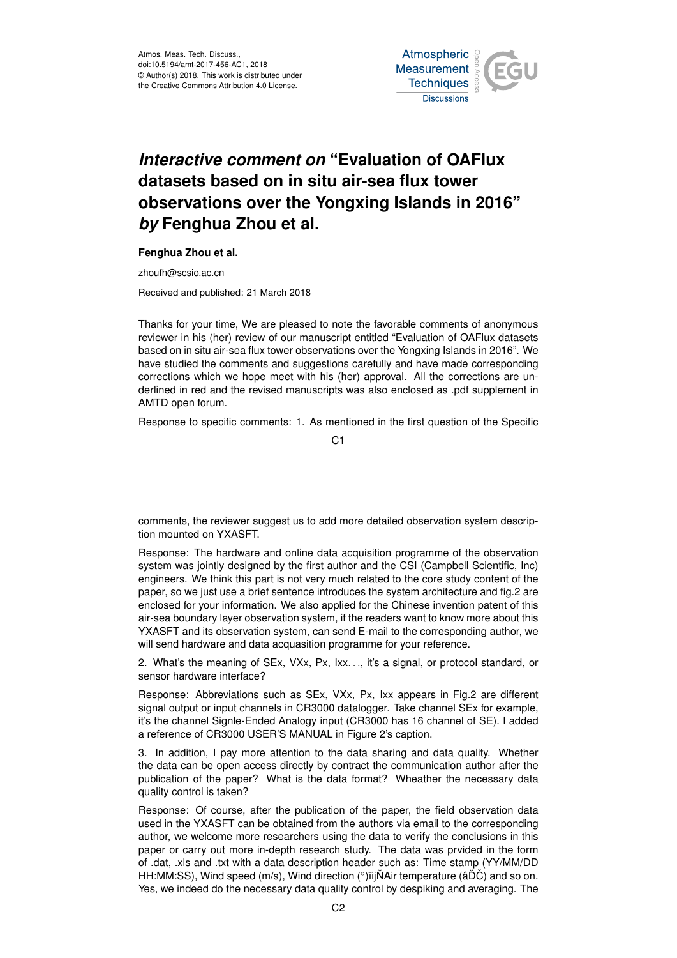

## *Interactive comment on* **"Evaluation of OAFlux datasets based on in situ air-sea flux tower observations over the Yongxing Islands in 2016"** *by* **Fenghua Zhou et al.**

## **Fenghua Zhou et al.**

zhoufh@scsio.ac.cn

Received and published: 21 March 2018

Thanks for your time, We are pleased to note the favorable comments of anonymous reviewer in his (her) review of our manuscript entitled "Evaluation of OAFlux datasets based on in situ air-sea flux tower observations over the Yongxing Islands in 2016". We have studied the comments and suggestions carefully and have made corresponding corrections which we hope meet with his (her) approval. All the corrections are underlined in red and the revised manuscripts was also enclosed as .pdf supplement in AMTD open forum.

Response to specific comments: 1. As mentioned in the first question of the Specific

 $C<sub>1</sub>$ 

comments, the reviewer suggest us to add more detailed observation system description mounted on YXASFT.

Response: The hardware and online data acquisition programme of the observation system was jointly designed by the first author and the CSI (Campbell Scientific, Inc) engineers. We think this part is not very much related to the core study content of the paper, so we just use a brief sentence introduces the system architecture and fig.2 are enclosed for your information. We also applied for the Chinese invention patent of this air-sea boundary layer observation system, if the readers want to know more about this YXASFT and its observation system, can send E-mail to the corresponding author, we will send hardware and data acquasition programme for your reference.

2. What's the meaning of SEx, VXx, Px, Ixx. . ., it's a signal, or protocol standard, or sensor hardware interface?

Response: Abbreviations such as SEx, VXx, Px, Ixx appears in Fig.2 are different signal output or input channels in CR3000 datalogger. Take channel SEx for example, it's the channel Signle-Ended Analogy input (CR3000 has 16 channel of SE). I added a reference of CR3000 USER'S MANUAL in Figure 2's caption.

3. In addition, I pay more attention to the data sharing and data quality. Whether the data can be open access directly by contract the communication author after the publication of the paper? What is the data format? Wheather the necessary data quality control is taken?

Response: Of course, after the publication of the paper, the field observation data used in the YXASFT can be obtained from the authors via email to the corresponding author, we welcome more researchers using the data to verify the conclusions in this paper or carry out more in-depth research study. The data was prvided in the form of .dat, .xls and .txt with a data description header such as: Time stamp (YY/MM/DD HH:MM:SS), Wind speed (m/s), Wind direction (°)ïijŇAir temperature (âĎČ) and so on. Yes, we indeed do the necessary data quality control by despiking and averaging. The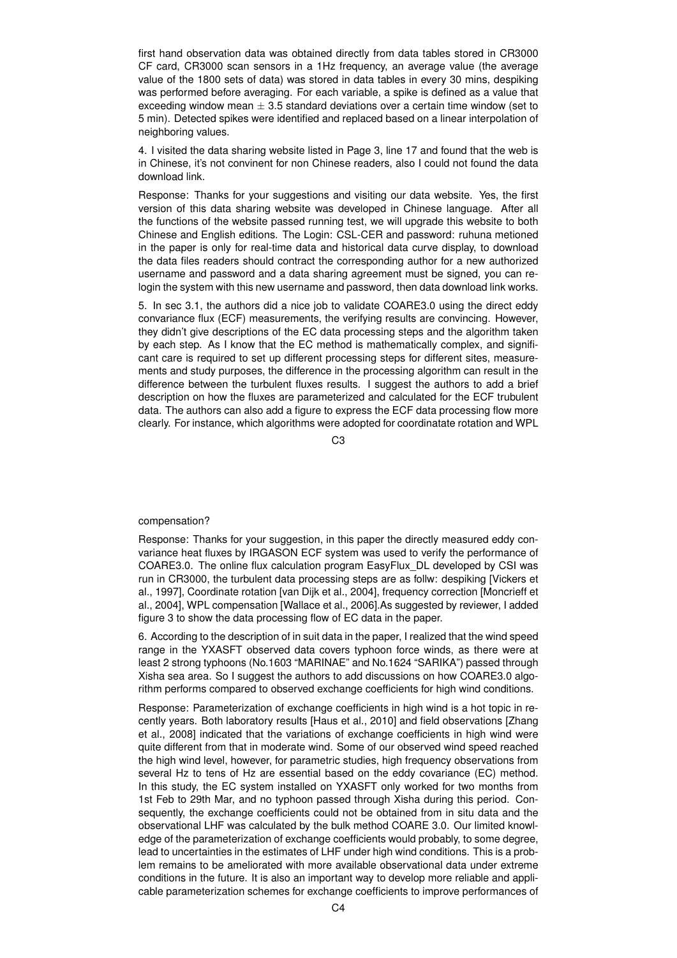first hand observation data was obtained directly from data tables stored in CR3000 CF card, CR3000 scan sensors in a 1Hz frequency, an average value (the average value of the 1800 sets of data) was stored in data tables in every 30 mins, despiking was performed before averaging. For each variable, a spike is defined as a value that exceeding window mean  $\pm 3.5$  standard deviations over a certain time window (set to 5 min). Detected spikes were identified and replaced based on a linear interpolation of neighboring values.

4. I visited the data sharing website listed in Page 3, line 17 and found that the web is in Chinese, it's not convinent for non Chinese readers, also I could not found the data download link.

Response: Thanks for your suggestions and visiting our data website. Yes, the first version of this data sharing website was developed in Chinese language. After all the functions of the website passed running test, we will upgrade this website to both Chinese and English editions. The Login: CSL-CER and password: ruhuna metioned in the paper is only for real-time data and historical data curve display, to download the data files readers should contract the corresponding author for a new authorized username and password and a data sharing agreement must be signed, you can relogin the system with this new username and password, then data download link works.

5. In sec 3.1, the authors did a nice job to validate COARE3.0 using the direct eddy convariance flux (ECF) measurements, the verifying results are convincing. However, they didn't give descriptions of the EC data processing steps and the algorithm taken by each step. As I know that the EC method is mathematically complex, and significant care is required to set up different processing steps for different sites, measurements and study purposes, the difference in the processing algorithm can result in the difference between the turbulent fluxes results. I suggest the authors to add a brief description on how the fluxes are parameterized and calculated for the ECF trubulent data. The authors can also add a figure to express the ECF data processing flow more clearly. For instance, which algorithms were adopted for coordinatate rotation and WPL

C3

## compensation?

Response: Thanks for your suggestion, in this paper the directly measured eddy convariance heat fluxes by IRGASON ECF system was used to verify the performance of COARE3.0. The online flux calculation program EasyFlux\_DL developed by CSI was run in CR3000, the turbulent data processing steps are as follw: despiking [Vickers et al., 1997], Coordinate rotation [van Dijk et al., 2004], frequency correction [Moncrieff et al., 2004], WPL compensation [Wallace et al., 2006].As suggested by reviewer, I added figure 3 to show the data processing flow of EC data in the paper.

6. According to the description of in suit data in the paper, I realized that the wind speed range in the YXASFT observed data covers typhoon force winds, as there were at least 2 strong typhoons (No.1603 "MARINAE" and No.1624 "SARIKA") passed through Xisha sea area. So I suggest the authors to add discussions on how COARE3.0 algorithm performs compared to observed exchange coefficients for high wind conditions.

Response: Parameterization of exchange coefficients in high wind is a hot topic in recently years. Both laboratory results [Haus et al., 2010] and field observations [Zhang et al., 2008] indicated that the variations of exchange coefficients in high wind were quite different from that in moderate wind. Some of our observed wind speed reached the high wind level, however, for parametric studies, high frequency observations from several Hz to tens of Hz are essential based on the eddy covariance (EC) method. In this study, the EC system installed on YXASFT only worked for two months from 1st Feb to 29th Mar, and no typhoon passed through Xisha during this period. Consequently, the exchange coefficients could not be obtained from in situ data and the observational LHF was calculated by the bulk method COARE 3.0. Our limited knowledge of the parameterization of exchange coefficients would probably, to some degree, lead to uncertainties in the estimates of LHF under high wind conditions. This is a problem remains to be ameliorated with more available observational data under extreme conditions in the future. It is also an important way to develop more reliable and applicable parameterization schemes for exchange coefficients to improve performances of